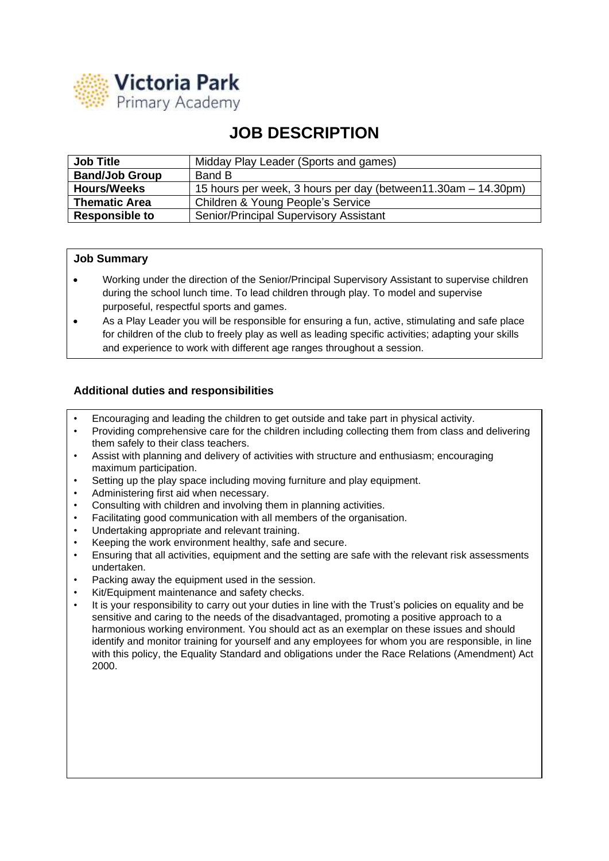

## **JOB DESCRIPTION**

| <b>Job Title</b>      | Midday Play Leader (Sports and games)                         |
|-----------------------|---------------------------------------------------------------|
| <b>Band/Job Group</b> | Band B                                                        |
| <b>Hours/Weeks</b>    | 15 hours per week, 3 hours per day (between11.30am – 14.30pm) |
| <b>Thematic Area</b>  | Children & Young People's Service                             |
| <b>Responsible to</b> | <b>Senior/Principal Supervisory Assistant</b>                 |

## **Job Summary**

- Working under the direction of the Senior/Principal Supervisory Assistant to supervise children during the school lunch time. To lead children through play. To model and supervise purposeful, respectful sports and games.
- As a Play Leader you will be responsible for ensuring a fun, active, stimulating and safe place for children of the club to freely play as well as leading specific activities; adapting your skills and experience to work with different age ranges throughout a session.

## **Additional duties and responsibilities**

- Encouraging and leading the children to get outside and take part in physical activity.
- Providing comprehensive care for the children including collecting them from class and delivering them safely to their class teachers.
- Assist with planning and delivery of activities with structure and enthusiasm; encouraging maximum participation.
- Setting up the play space including moving furniture and play equipment.
- Administering first aid when necessary.
- Consulting with children and involving them in planning activities.
- Facilitating good communication with all members of the organisation.
- Undertaking appropriate and relevant training.
- Keeping the work environment healthy, safe and secure.
- Ensuring that all activities, equipment and the setting are safe with the relevant risk assessments undertaken.
- Packing away the equipment used in the session.
- Kit/Equipment maintenance and safety checks.
- It is your responsibility to carry out your duties in line with the Trust's policies on equality and be sensitive and caring to the needs of the disadvantaged, promoting a positive approach to a harmonious working environment. You should act as an exemplar on these issues and should identify and monitor training for yourself and any employees for whom you are responsible, in line with this policy, the Equality Standard and obligations under the Race Relations (Amendment) Act 2000.